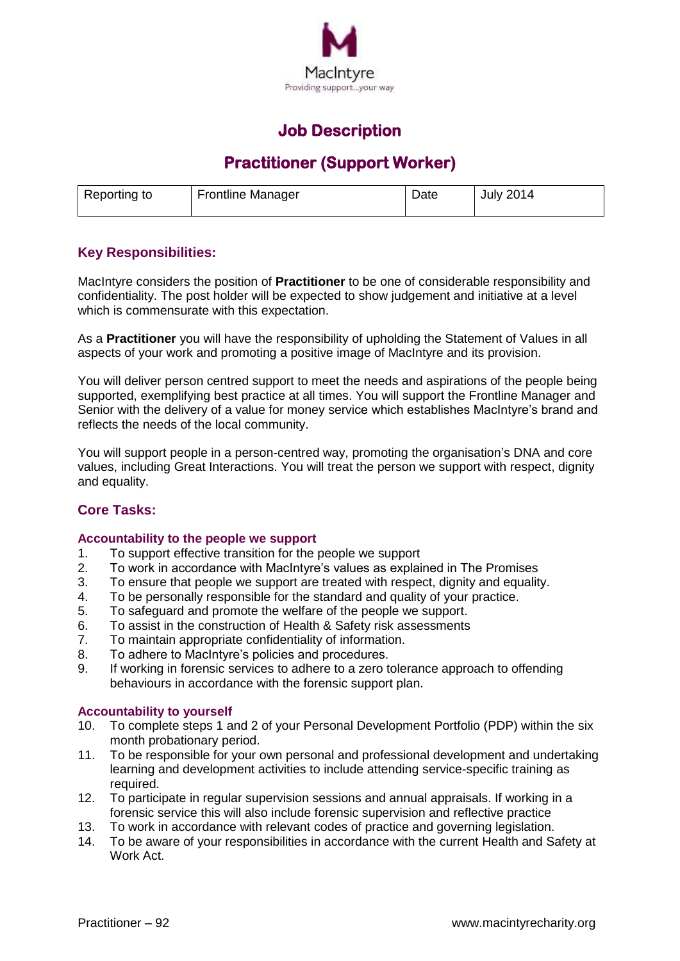

## **Job Description**

# **Practitioner (Support Worker)**

| Reporting to | <b>Frontline Manager</b> | Date | <b>July 2014</b> |
|--------------|--------------------------|------|------------------|
|              |                          |      |                  |

### **Key Responsibilities:**

MacIntyre considers the position of **Practitioner** to be one of considerable responsibility and confidentiality. The post holder will be expected to show judgement and initiative at a level which is commensurate with this expectation.

As a **Practitioner** you will have the responsibility of upholding the Statement of Values in all aspects of your work and promoting a positive image of MacIntyre and its provision.

You will deliver person centred support to meet the needs and aspirations of the people being supported, exemplifying best practice at all times. You will support the Frontline Manager and Senior with the delivery of a value for money service which establishes MacIntyre's brand and reflects the needs of the local community.

You will support people in a person-centred way, promoting the organisation's DNA and core values, including Great Interactions. You will treat the person we support with respect, dignity and equality.

### **Core Tasks:**

#### **Accountability to the people we support**

- 1. To support effective transition for the people we support
- 2. To work in accordance with MacIntyre's values as explained in The Promises
- 3. To ensure that people we support are treated with respect, dignity and equality.
- 4. To be personally responsible for the standard and quality of your practice.
- 5. To safeguard and promote the welfare of the people we support.
- 6. To assist in the construction of Health & Safety risk assessments
- 7. To maintain appropriate confidentiality of information.
- 8. To adhere to MacIntyre's policies and procedures.
- 9. If working in forensic services to adhere to a zero tolerance approach to offending behaviours in accordance with the forensic support plan.

#### **Accountability to yourself**

- 10. To complete steps 1 and 2 of your Personal Development Portfolio (PDP) within the six month probationary period.
- 11. To be responsible for your own personal and professional development and undertaking learning and development activities to include attending service-specific training as required.
- 12. To participate in regular supervision sessions and annual appraisals. If working in a forensic service this will also include forensic supervision and reflective practice
- 13. To work in accordance with relevant codes of practice and governing legislation.
- 14. To be aware of your responsibilities in accordance with the current Health and Safety at Work Act.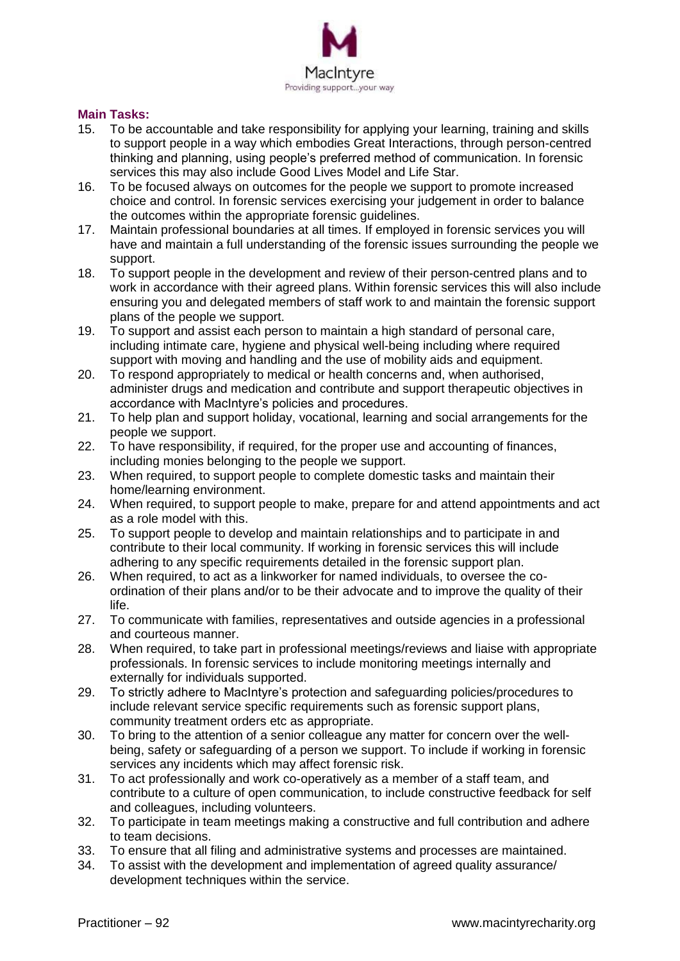

#### **Main Tasks:**

- 15. To be accountable and take responsibility for applying your learning, training and skills to support people in a way which embodies Great Interactions, through person-centred thinking and planning, using people's preferred method of communication. In forensic services this may also include Good Lives Model and Life Star.
- 16. To be focused always on outcomes for the people we support to promote increased choice and control. In forensic services exercising your judgement in order to balance the outcomes within the appropriate forensic guidelines.
- 17. Maintain professional boundaries at all times. If employed in forensic services you will have and maintain a full understanding of the forensic issues surrounding the people we support.
- 18. To support people in the development and review of their person-centred plans and to work in accordance with their agreed plans. Within forensic services this will also include ensuring you and delegated members of staff work to and maintain the forensic support plans of the people we support.
- 19. To support and assist each person to maintain a high standard of personal care, including intimate care, hygiene and physical well-being including where required support with moving and handling and the use of mobility aids and equipment.
- 20. To respond appropriately to medical or health concerns and, when authorised, administer drugs and medication and contribute and support therapeutic objectives in accordance with MacIntyre's policies and procedures.
- 21. To help plan and support holiday, vocational, learning and social arrangements for the people we support.
- 22. To have responsibility, if required, for the proper use and accounting of finances, including monies belonging to the people we support.
- 23. When required, to support people to complete domestic tasks and maintain their home/learning environment.
- 24. When required, to support people to make, prepare for and attend appointments and act as a role model with this.
- 25. To support people to develop and maintain relationships and to participate in and contribute to their local community. If working in forensic services this will include adhering to any specific requirements detailed in the forensic support plan.
- 26. When required, to act as a linkworker for named individuals, to oversee the coordination of their plans and/or to be their advocate and to improve the quality of their life.
- 27. To communicate with families, representatives and outside agencies in a professional and courteous manner.
- 28. When required, to take part in professional meetings/reviews and liaise with appropriate professionals. In forensic services to include monitoring meetings internally and externally for individuals supported.
- 29. To strictly adhere to MacIntyre's protection and safeguarding policies/procedures to include relevant service specific requirements such as forensic support plans, community treatment orders etc as appropriate.
- 30. To bring to the attention of a senior colleague any matter for concern over the wellbeing, safety or safeguarding of a person we support. To include if working in forensic services any incidents which may affect forensic risk.
- 31. To act professionally and work co-operatively as a member of a staff team, and contribute to a culture of open communication, to include constructive feedback for self and colleagues, including volunteers.
- 32. To participate in team meetings making a constructive and full contribution and adhere to team decisions.
- 33. To ensure that all filing and administrative systems and processes are maintained.
- 34. To assist with the development and implementation of agreed quality assurance/ development techniques within the service.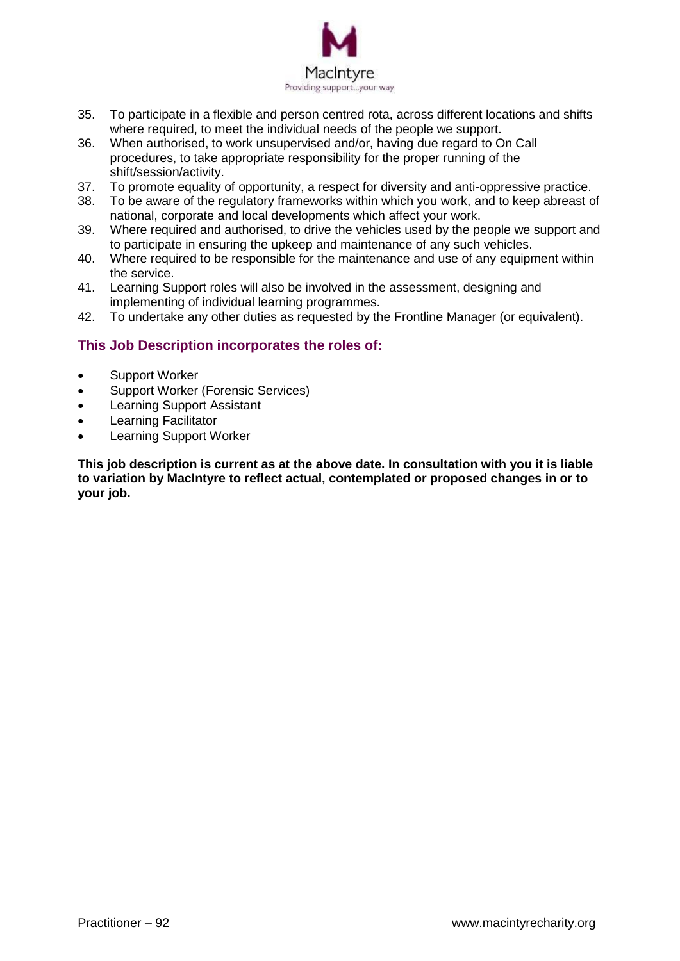

- 35. To participate in a flexible and person centred rota, across different locations and shifts where required, to meet the individual needs of the people we support.
- 36. When authorised, to work unsupervised and/or, having due regard to On Call procedures, to take appropriate responsibility for the proper running of the shift/session/activity.
- 37. To promote equality of opportunity, a respect for diversity and anti-oppressive practice.
- 38. To be aware of the regulatory frameworks within which you work, and to keep abreast of national, corporate and local developments which affect your work.
- 39. Where required and authorised, to drive the vehicles used by the people we support and to participate in ensuring the upkeep and maintenance of any such vehicles.
- 40. Where required to be responsible for the maintenance and use of any equipment within the service.
- 41. Learning Support roles will also be involved in the assessment, designing and implementing of individual learning programmes.
- 42. To undertake any other duties as requested by the Frontline Manager (or equivalent).

### **This Job Description incorporates the roles of:**

- Support Worker
- Support Worker (Forensic Services)
- Learning Support Assistant
- Learning Facilitator
- Learning Support Worker

**This job description is current as at the above date. In consultation with you it is liable to variation by MacIntyre to reflect actual, contemplated or proposed changes in or to your job.**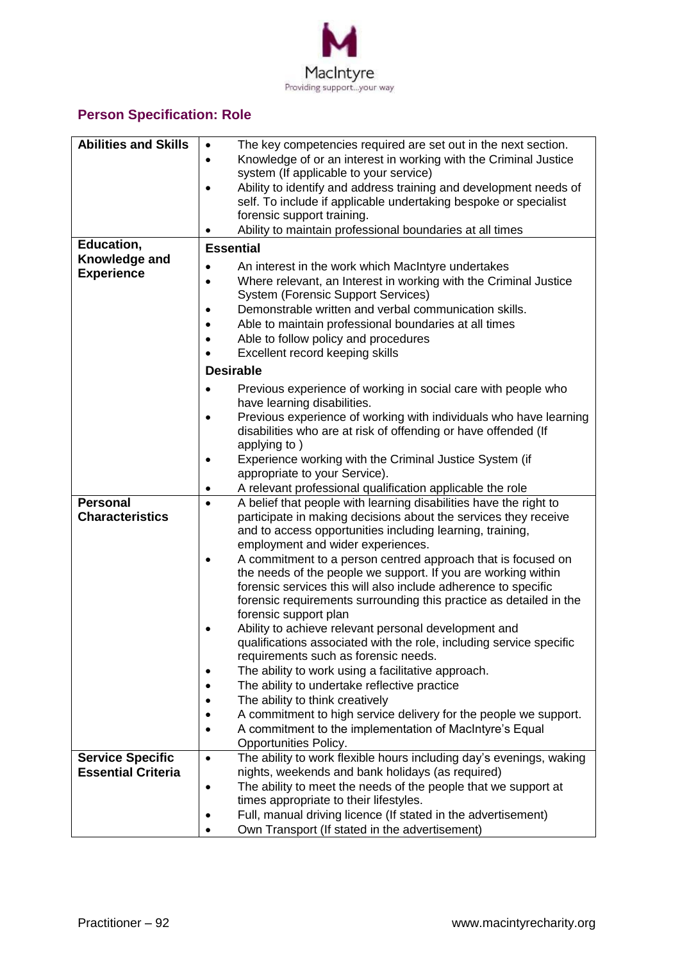

## **Person Specification: Role**

| <b>Abilities and Skills</b> | The key competencies required are set out in the next section.<br>$\bullet$                               |  |
|-----------------------------|-----------------------------------------------------------------------------------------------------------|--|
|                             | Knowledge of or an interest in working with the Criminal Justice<br>$\bullet$                             |  |
|                             | system (If applicable to your service)                                                                    |  |
|                             | Ability to identify and address training and development needs of<br>$\bullet$                            |  |
|                             | self. To include if applicable undertaking bespoke or specialist                                          |  |
|                             | forensic support training.                                                                                |  |
|                             | Ability to maintain professional boundaries at all times                                                  |  |
| Education,                  | <b>Essential</b>                                                                                          |  |
| Knowledge and               | An interest in the work which MacIntyre undertakes<br>$\bullet$                                           |  |
| <b>Experience</b>           | Where relevant, an Interest in working with the Criminal Justice<br>$\bullet$                             |  |
|                             | <b>System (Forensic Support Services)</b>                                                                 |  |
|                             | Demonstrable written and verbal communication skills.<br>$\bullet$                                        |  |
|                             | Able to maintain professional boundaries at all times<br>$\bullet$                                        |  |
|                             |                                                                                                           |  |
|                             | Able to follow policy and procedures<br>$\bullet$                                                         |  |
|                             | Excellent record keeping skills                                                                           |  |
|                             | <b>Desirable</b>                                                                                          |  |
|                             | Previous experience of working in social care with people who<br>$\bullet$<br>have learning disabilities. |  |
|                             | Previous experience of working with individuals who have learning<br>$\bullet$                            |  |
|                             | disabilities who are at risk of offending or have offended (If                                            |  |
|                             | applying to)                                                                                              |  |
|                             | Experience working with the Criminal Justice System (if<br>$\bullet$                                      |  |
|                             | appropriate to your Service).                                                                             |  |
|                             | A relevant professional qualification applicable the role<br>$\bullet$                                    |  |
| <b>Personal</b>             | A belief that people with learning disabilities have the right to<br>$\bullet$                            |  |
| <b>Characteristics</b>      | participate in making decisions about the services they receive                                           |  |
|                             | and to access opportunities including learning, training,                                                 |  |
|                             | employment and wider experiences.                                                                         |  |
|                             | A commitment to a person centred approach that is focused on                                              |  |
|                             | the needs of the people we support. If you are working within                                             |  |
|                             | forensic services this will also include adherence to specific                                            |  |
|                             | forensic requirements surrounding this practice as detailed in the                                        |  |
|                             | forensic support plan                                                                                     |  |
|                             | Ability to achieve relevant personal development and                                                      |  |
|                             | qualifications associated with the role, including service specific                                       |  |
|                             | requirements such as forensic needs.                                                                      |  |
|                             | The ability to work using a facilitative approach.<br>٠                                                   |  |
|                             | The ability to undertake reflective practice                                                              |  |
|                             | The ability to think creatively                                                                           |  |
|                             | A commitment to high service delivery for the people we support.                                          |  |
|                             |                                                                                                           |  |
|                             | A commitment to the implementation of MacIntyre's Equal<br>Opportunities Policy.                          |  |
| <b>Service Specific</b>     | The ability to work flexible hours including day's evenings, waking                                       |  |
| <b>Essential Criteria</b>   | $\bullet$<br>nights, weekends and bank holidays (as required)                                             |  |
|                             |                                                                                                           |  |
|                             | The ability to meet the needs of the people that we support at<br>$\bullet$                               |  |
|                             | times appropriate to their lifestyles.                                                                    |  |
|                             | Full, manual driving licence (If stated in the advertisement)                                             |  |
|                             | Own Transport (If stated in the advertisement)                                                            |  |